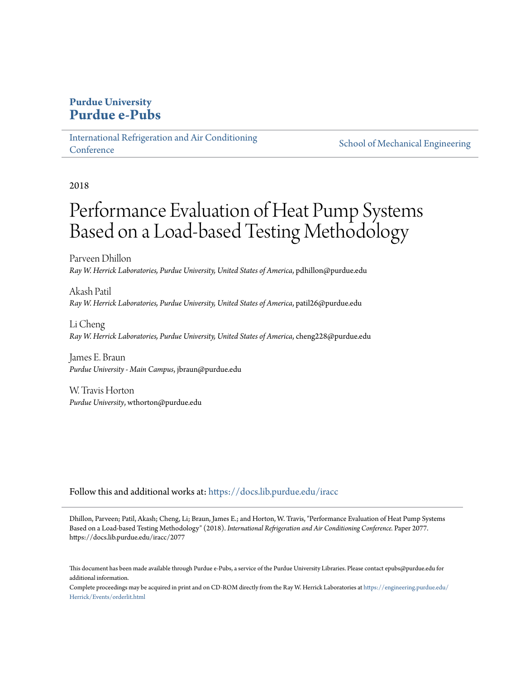## **Purdue University [Purdue e-Pubs](https://docs.lib.purdue.edu?utm_source=docs.lib.purdue.edu%2Firacc%2F2077&utm_medium=PDF&utm_campaign=PDFCoverPages)**

[International Refrigeration and Air Conditioning](https://docs.lib.purdue.edu/iracc?utm_source=docs.lib.purdue.edu%2Firacc%2F2077&utm_medium=PDF&utm_campaign=PDFCoverPages) **[Conference](https://docs.lib.purdue.edu/iracc?utm_source=docs.lib.purdue.edu%2Firacc%2F2077&utm_medium=PDF&utm_campaign=PDFCoverPages)** 

[School of Mechanical Engineering](https://docs.lib.purdue.edu/me?utm_source=docs.lib.purdue.edu%2Firacc%2F2077&utm_medium=PDF&utm_campaign=PDFCoverPages)

2018

# Performance Evaluation of Heat Pump Systems Based on a Load-based Testing Methodology

Parveen Dhillon *Ray W. Herrick Laboratories, Purdue University, United States of America*, pdhillon@purdue.edu

Akash Patil *Ray W. Herrick Laboratories, Purdue University, United States of America*, patil26@purdue.edu

Li Cheng *Ray W. Herrick Laboratories, Purdue University, United States of America*, cheng228@purdue.edu

James E. Braun *Purdue University - Main Campus*, jbraun@purdue.edu

W. Travis Horton *Purdue University*, wthorton@purdue.edu

Follow this and additional works at: [https://docs.lib.purdue.edu/iracc](https://docs.lib.purdue.edu/iracc?utm_source=docs.lib.purdue.edu%2Firacc%2F2077&utm_medium=PDF&utm_campaign=PDFCoverPages)

Dhillon, Parveen; Patil, Akash; Cheng, Li; Braun, James E.; and Horton, W. Travis, "Performance Evaluation of Heat Pump Systems Based on a Load-based Testing Methodology" (2018). *International Refrigeration and Air Conditioning Conference.* Paper 2077. https://docs.lib.purdue.edu/iracc/2077

This document has been made available through Purdue e-Pubs, a service of the Purdue University Libraries. Please contact epubs@purdue.edu for additional information.

Complete proceedings may be acquired in print and on CD-ROM directly from the Ray W. Herrick Laboratories at [https://engineering.purdue.edu/](https://engineering.purdue.edu/Herrick/Events/orderlit.html) [Herrick/Events/orderlit.html](https://engineering.purdue.edu/Herrick/Events/orderlit.html)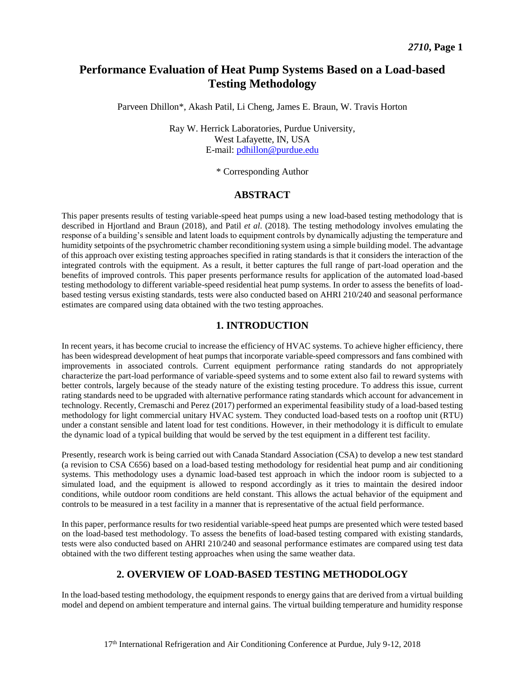## **Performance Evaluation of Heat Pump Systems Based on a Load-based Testing Methodology**

Parveen Dhillon\*, Akash Patil, Li Cheng, James E. Braun, W. Travis Horton

Ray W. Herrick Laboratories, Purdue University, West Lafayette, IN, USA E-mail: [pdhillon@purdue.edu](mailto:pdhillon@purdue.edu)

\* Corresponding Author

#### **ABSTRACT**

This paper presents results of testing variable-speed heat pumps using a new load-based testing methodology that is described in Hjortland and Braun (2018), and Patil *et al*. (2018). The testing methodology involves emulating the response of a building's sensible and latent loads to equipment controls by dynamically adjusting the temperature and humidity setpoints of the psychrometric chamber reconditioning system using a simple building model. The advantage of this approach over existing testing approaches specified in rating standards is that it considers the interaction of the integrated controls with the equipment. As a result, it better captures the full range of part-load operation and the benefits of improved controls. This paper presents performance results for application of the automated load-based testing methodology to different variable-speed residential heat pump systems. In order to assess the benefits of loadbased testing versus existing standards, tests were also conducted based on AHRI 210/240 and seasonal performance estimates are compared using data obtained with the two testing approaches.

## **1. INTRODUCTION**

In recent years, it has become crucial to increase the efficiency of HVAC systems. To achieve higher efficiency, there has been widespread development of heat pumps that incorporate variable-speed compressors and fans combined with improvements in associated controls. Current equipment performance rating standards do not appropriately characterize the part-load performance of variable-speed systems and to some extent also fail to reward systems with better controls, largely because of the steady nature of the existing testing procedure. To address this issue, current rating standards need to be upgraded with alternative performance rating standards which account for advancement in technology. Recently, Cremaschi and Perez (2017) performed an experimental feasibility study of a load-based testing methodology for light commercial unitary HVAC system. They conducted load-based tests on a rooftop unit (RTU) under a constant sensible and latent load for test conditions. However, in their methodology it is difficult to emulate the dynamic load of a typical building that would be served by the test equipment in a different test facility.

Presently, research work is being carried out with Canada Standard Association (CSA) to develop a new test standard (a revision to CSA C656) based on a load-based testing methodology for residential heat pump and air conditioning systems. This methodology uses a dynamic load-based test approach in which the indoor room is subjected to a simulated load, and the equipment is allowed to respond accordingly as it tries to maintain the desired indoor conditions, while outdoor room conditions are held constant. This allows the actual behavior of the equipment and controls to be measured in a test facility in a manner that is representative of the actual field performance.

In this paper, performance results for two residential variable-speed heat pumps are presented which were tested based on the load-based test methodology. To assess the benefits of load-based testing compared with existing standards, tests were also conducted based on AHRI 210/240 and seasonal performance estimates are compared using test data obtained with the two different testing approaches when using the same weather data.

## **2. OVERVIEW OF LOAD-BASED TESTING METHODOLOGY**

In the load-based testing methodology, the equipment responds to energy gains that are derived from a virtual building model and depend on ambient temperature and internal gains. The virtual building temperature and humidity response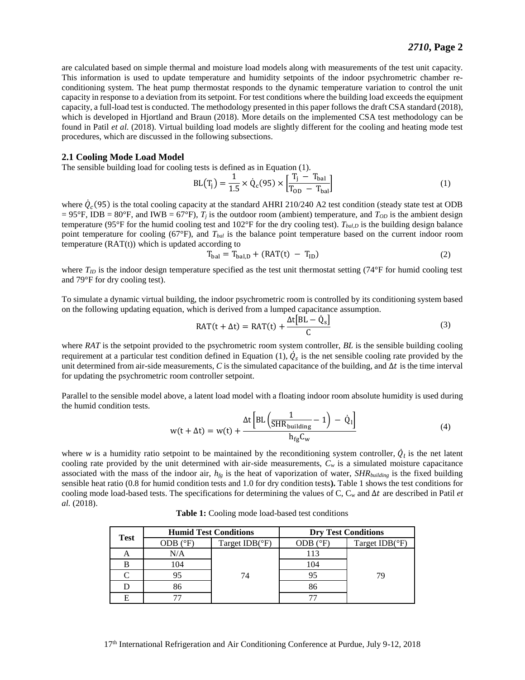are calculated based on simple thermal and moisture load models along with measurements of the test unit capacity. This information is used to update temperature and humidity setpoints of the indoor psychrometric chamber reconditioning system. The heat pump thermostat responds to the dynamic temperature variation to control the unit capacity in response to a deviation from its setpoint. For test conditions where the building load exceeds the equipment capacity, a full-load test is conducted. The methodology presented in this paper follows the draft CSA standard (2018), which is developed in Hjortland and Braun (2018). More details on the implemented CSA test methodology can be found in Patil *et al.* (2018). Virtual building load models are slightly different for the cooling and heating mode test procedures, which are discussed in the following subsections.

#### **2.1 Cooling Mode Load Model**

The sensible building load for cooling tests is defined as in Equation (1).

$$
BL(T_j) = \frac{1}{1.5} \times \dot{Q}_c(95) \times \left[ \frac{T_j - T_{bal}}{T_{OD} - T_{bal}} \right]
$$
 (1)

where  $\dot{Q}_c(95)$  is the total cooling capacity at the standard AHRI 210/240 A2 test condition (steady state test at ODB  $= 95^{\circ}$ F, IDB = 80°F, and IWB = 67°F),  $T_i$  is the outdoor room (ambient) temperature, and  $T_{OD}$  is the ambient design temperature (95°F for the humid cooling test and  $102^{\circ}$ F for the dry cooling test). *T*<sub>*bal,D*</sub> is the building design balance point temperature for cooling (67°F), and *Tbal* is the balance point temperature based on the current indoor room temperature  $(RAT(t))$  which is updated according to

$$
T_{bal} = T_{bal,D} + (RAT(t) - T_{ID})
$$
\n
$$
\tag{2}
$$

where  $T_{ID}$  is the indoor design temperature specified as the test unit thermostat setting (74 $\degree$ F for humid cooling test and 79°F for dry cooling test).

To simulate a dynamic virtual building, the indoor psychrometric room is controlled by its conditioning system based on the following updating equation, which is derived from a lumped capacitance assumption.

$$
RAT(t + \Delta t) = RAT(t) + \frac{\Delta t[BL - \dot{Q}_s]}{C}
$$
\n(3)

where *RAT* is the setpoint provided to the psychrometric room system controller, *BL* is the sensible building cooling requirement at a particular test condition defined in Equation (1),  $\dot{Q}_s$  is the net sensible cooling rate provided by the unit determined from air-side measurements,  $C$  is the simulated capacitance of the building, and  $\Delta t$  is the time interval for updating the psychrometric room controller setpoint.

Parallel to the sensible model above, a latent load model with a floating indoor room absolute humidity is used during the humid condition tests.

$$
w(t + \Delta t) = w(t) + \frac{\Delta t \left[ BL \left( \frac{1}{SHR_{building}} - 1 \right) - \dot{Q}_1 \right]}{h_{fg}C_w}
$$
(4)

where *w* is a humidity ratio setpoint to be maintained by the reconditioning system controller,  $\dot{Q}_l$  is the net latent cooling rate provided by the unit determined with air-side measurements,  $C_w$  is a simulated moisture capacitance associated with the mass of the indoor air,  $h_{fg}$  is the heat of vaporization of water,  $SHR_{building}$  is the fixed building sensible heat ratio (0.8 for humid condition tests and 1.0 for dry condition tests**).** [Table 1](#page-2-0) shows the test conditions for cooling mode load-based tests. The specifications for determining the values of C,  $C_w$  and  $\Delta t$  are described in Patil *et al.* (2018).

| Table 1: Cooling mode load-based test conditions |
|--------------------------------------------------|
|                                                  |

<span id="page-2-0"></span>

| <b>Test</b> |                   | <b>Humid Test Conditions</b> | <b>Dry Test Conditions</b> |                         |  |
|-------------|-------------------|------------------------------|----------------------------|-------------------------|--|
|             | ODB $(^{\circ}F)$ | Target $IDB(^{\circ}F)$      | ODB $(^{\circ}F)$          | Target $IDB(^{\circ}F)$ |  |
| A           | N/A               |                              | 113                        |                         |  |
| B           | 104               |                              | 104                        |                         |  |
|             | 95                | 74                           | 95                         | 79                      |  |
|             | 86                |                              | 86                         |                         |  |
| E           |                   |                              |                            |                         |  |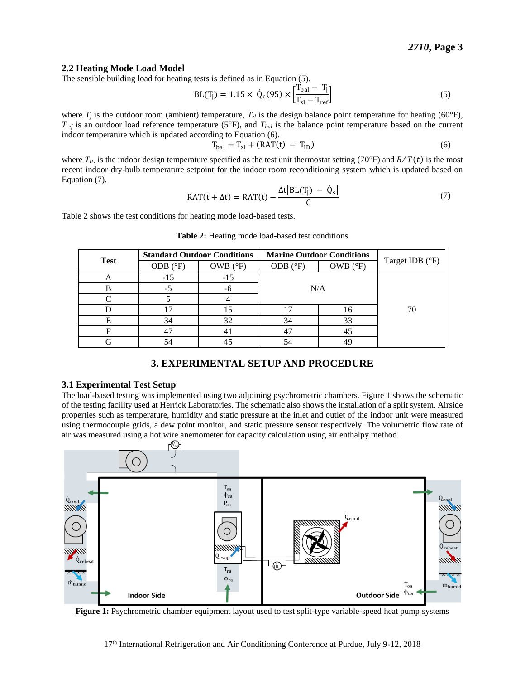#### **2.2 Heating Mode Load Model**

The sensible building load for heating tests is defined as in Equation (5).

$$
BL(T_j) = 1.15 \times \dot{Q}_c(95) \times \left[\frac{T_{bal} - T_j}{T_{z1} - T_{ref}}\right]
$$
 (5)

where  $T_i$  is the outdoor room (ambient) temperature,  $T_{i,j}$  is the design balance point temperature for heating (60°F),  $T_{ref}$  is an outdoor load reference temperature (5°F), and  $T_{bal}$  is the balance point temperature based on the current indoor temperature which is updated according to Equation (6).

$$
T_{\text{bal}} = T_{\text{zl}} + (\text{RAT}(t) - T_{\text{ID}}) \tag{6}
$$

where  $T_{ID}$  is the indoor design temperature specified as the test unit thermostat setting (70°F) and  $RAT(t)$  is the most recent indoor dry-bulb temperature setpoint for the indoor room reconditioning system which is updated based on Equation (7).

$$
RAT(t + \Delta t) = RAT(t) - \frac{\Delta t[BL(T_j) - \dot{Q}_s]}{C}
$$
\n(7)

<span id="page-3-0"></span>[Table 2](#page-3-0) shows the test conditions for heating mode load-based tests.

|             | <b>Standard Outdoor Conditions</b> |                   | <b>Marine Outdoor Conditions</b> |                   |                 |  |
|-------------|------------------------------------|-------------------|----------------------------------|-------------------|-----------------|--|
| <b>Test</b> | ODB $(^{\circ}F)$                  | OWB $(^{\circ}F)$ | ODB $(^{\circ}F)$                | OWB $(^{\circ}F)$ | Target IDB (°F) |  |
|             | $-15$                              | $-15$             |                                  |                   |                 |  |
|             | $-5$                               | -6                | N/A                              |                   |                 |  |
|             |                                    |                   |                                  |                   |                 |  |
|             |                                    | 15                |                                  | 16                | 70              |  |
|             | 34                                 | 32                | 34                               | 33                |                 |  |
|             | 47                                 | 41                | 47                               | 45                |                 |  |
|             | 54                                 | 45                | 54                               | ΛQ                |                 |  |

**Table 2:** Heating mode load-based test conditions

## **3. EXPERIMENTAL SETUP AND PROCEDURE**

#### **3.1 Experimental Test Setup**

The load-based testing was implemented using two adjoining psychrometric chambers. Figure 1 shows the schematic of the testing facility used at Herrick Laboratories. The schematic also shows the installation of a split system. Airside properties such as temperature, humidity and static pressure at the inlet and outlet of the indoor unit were measured using thermocouple grids, a dew point monitor, and static pressure sensor respectively. The volumetric flow rate of air was measured using a hot wire anemometer for capacity calculation using air enthalpy method.



**Figure 1:** Psychrometric chamber equipment layout used to test split-type variable-speed heat pump systems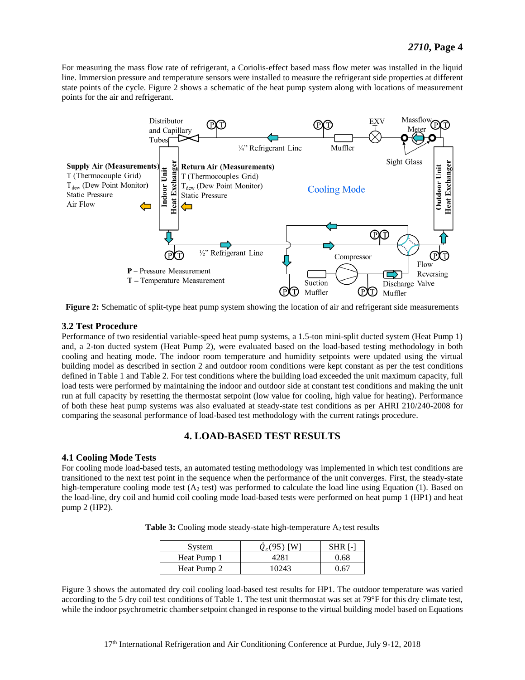For measuring the mass flow rate of refrigerant, a Coriolis-effect based mass flow meter was installed in the liquid line. Immersion pressure and temperature sensors were installed to measure the refrigerant side properties at different state points of the cycle. Figure 2 shows a schematic of the heat pump system along with locations of measurement points for the air and refrigerant.



**Figure 2:** Schematic of split-type heat pump system showing the location of air and refrigerant side measurements

#### **3.2 Test Procedure**

Performance of two residential variable-speed heat pump systems, a 1.5-ton mini-split ducted system (Heat Pump 1) and, a 2-ton ducted system (Heat Pump 2), were evaluated based on the load-based testing methodology in both cooling and heating mode. The indoor room temperature and humidity setpoints were updated using the virtual building model as described in section 2 and outdoor room conditions were kept constant as per the test conditions defined i[n Table 1](#page-2-0) and [Table 2.](#page-3-0) For test conditions where the building load exceeded the unit maximum capacity, full load tests were performed by maintaining the indoor and outdoor side at constant test conditions and making the unit run at full capacity by resetting the thermostat setpoint (low value for cooling, high value for heating). Performance of both these heat pump systems was also evaluated at steady-state test conditions as per AHRI 210/240-2008 for comparing the seasonal performance of load-based test methodology with the current ratings procedure.

## **4. LOAD-BASED TEST RESULTS**

#### **4.1 Cooling Mode Tests**

For cooling mode load-based tests, an automated testing methodology was implemented in which test conditions are transitioned to the next test point in the sequence when the performance of the unit converges. First, the steady-state high-temperature cooling mode test ( $A<sub>2</sub>$  test) was performed to calculate the load line using Equation (1). Based on the load-line, dry coil and humid coil cooling mode load-based tests were performed on heat pump 1 (HP1) and heat pump 2 (HP2).

**Table 3:** Cooling mode steady-state high-temperature  $A_2$  test results

| System      | $Q_c(95)$ [W] | <b>SHR</b> [-] |
|-------------|---------------|----------------|
| Heat Pump 1 | 4281          | 0.68           |
| Heat Pump 2 | 10243         | 0.67           |

[Figure 3](#page-5-0) shows the automated dry coil cooling load-based test results for HP1. The outdoor temperature was varied according to the 5 dry coil test conditions of [Table 1.](#page-2-0) The test unit thermostat was set at 79°F for this dry climate test, while the indoor psychrometric chamber setpoint changed in response to the virtual building model based on Equations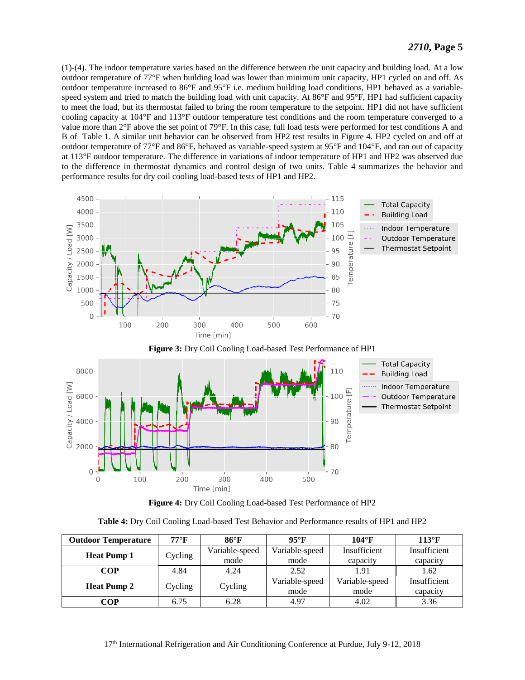(1)-(4). The indoor temperature varies based on the difference between the unit capacity and building load. At a low outdoor temperature of 77°F when building load was lower than minimum unit capacity, HP1 cycled on and off. As outdoor temperature increased to 86°F and 95°F i.e. medium building load conditions, HP1 behaved as a variablespeed system and tried to match the building load with unit capacity. At 86°F and 95°F, HP1 had sufficient capacity to meet the load, but its thermostat failed to bring the room temperature to the setpoint. HP1 did not have sufficient cooling capacity at 104°F and 113°F outdoor temperature test conditions and the room temperature converged to a value more than 2°F above the set point of 79°F. In this case, full load tests were performed for test conditions A and B of [Table 1.](#page-2-0) A similar unit behavior can be observed from HP2 test results in [Figure 4.](#page-5-1) HP2 cycled on and off at outdoor temperature of 77°F and 86°F, behaved as variable-speed system at 95°F and 104°F, and ran out of capacity at 113°F outdoor temperature. The difference in variations of indoor temperature of HP1 and HP2 was observed due to the difference in thermostat dynamics and control design of two units. [Table 4](#page-5-2) summarizes the behavior and performance results for dry coil cooling load-based tests of HP1 and HP2.





<span id="page-5-0"></span>



| Table 4: Dry Coil Cooling Load-based Test Behavior and Performance results of HP1 and HP2 |  |
|-------------------------------------------------------------------------------------------|--|
|-------------------------------------------------------------------------------------------|--|

<span id="page-5-2"></span><span id="page-5-1"></span>

| <b>Outdoor Temperature</b> | $77^{\circ}$ F | $86^{\circ}F$  | $95^{\circ}$ F | $104^{\circ}$ F | $113^{\circ}F$ |
|----------------------------|----------------|----------------|----------------|-----------------|----------------|
|                            | Cycling        | Variable-speed | Variable-speed | Insufficient    | Insufficient   |
| <b>Heat Pump 1</b>         |                | mode           | mode           | capacity        | capacity       |
| COP                        | 4.84           | 4.24           | 2.52           | 1.91            | 1.62           |
|                            |                |                | Variable-speed | Variable-speed  | Insufficient   |
| <b>Heat Pump 2</b>         | Cycling        | Cycling        | mode           | mode            | capacity       |
| COP                        | 6.75           | 6.28           | 4.97           | 4.02            | 3.36           |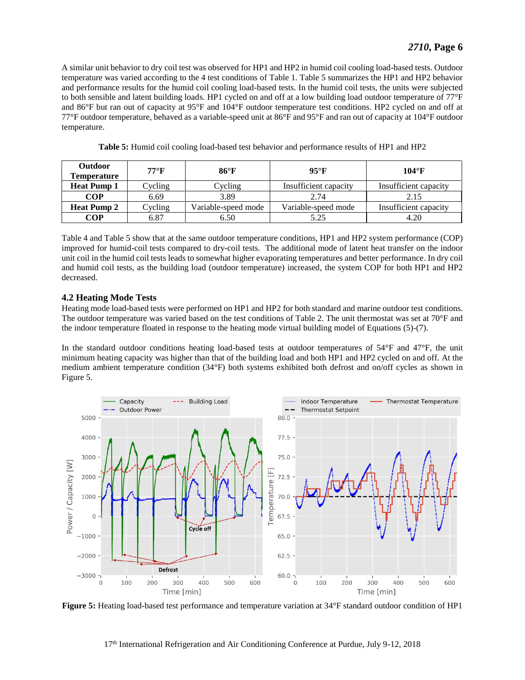A similar unit behavior to dry coil test was observed for HP1 and HP2 in humid coil cooling load-based tests. Outdoor temperature was varied according to the 4 test conditions of [Table 1.](#page-2-0) [Table 5](#page-6-0) summarizes the HP1 and HP2 behavior and performance results for the humid coil cooling load-based tests. In the humid coil tests, the units were subjected to both sensible and latent building loads. HP1 cycled on and off at a low building load outdoor temperature of 77°F and 86°F but ran out of capacity at 95°F and 104°F outdoor temperature test conditions. HP2 cycled on and off at 77°F outdoor temperature, behaved as a variable-speed unit at 86°F and 95°F and ran out of capacity at 104°F outdoor temperature.

<span id="page-6-0"></span>

| <b>Outdoor</b><br><b>Temperature</b> | $77^{\circ}$ F | $86^{\circ}$ F      | $95^{\circ}$ F        | $104^{\circ}$ F       |
|--------------------------------------|----------------|---------------------|-----------------------|-----------------------|
| <b>Heat Pump 1</b>                   | Cycling        | Cycling             | Insufficient capacity | Insufficient capacity |
| <b>COP</b>                           | 6.69           | 3.89                | 2.74                  | 2.15                  |
| <b>Heat Pump 2</b>                   | Cycling        | Variable-speed mode | Variable-speed mode   | Insufficient capacity |
| COP                                  | 6.87           | 6.50                | 5.25                  | 4.20                  |

**Table 5:** Humid coil cooling load-based test behavior and performance results of HP1 and HP2

[Table 4](#page-5-2) an[d Table 5](#page-6-0) show that at the same outdoor temperature conditions, HP1 and HP2 system performance (COP) improved for humid-coil tests compared to dry-coil tests. The additional mode of latent heat transfer on the indoor unit coil in the humid coil tests leads to somewhat higher evaporating temperatures and better performance. In dry coil and humid coil tests, as the building load (outdoor temperature) increased, the system COP for both HP1 and HP2 decreased.

#### **4.2 Heating Mode Tests**

Heating mode load-based tests were performed on HP1 and HP2 for both standard and marine outdoor test conditions. The outdoor temperature was varied based on the test conditions of [Table 2.](#page-3-0) The unit thermostat was set at 70°F and the indoor temperature floated in response to the heating mode virtual building model of Equations (5)-(7).

In the standard outdoor conditions heating load-based tests at outdoor temperatures of 54°F and 47°F, the unit minimum heating capacity was higher than that of the building load and both HP1 and HP2 cycled on and off. At the medium ambient temperature condition (34°F) both systems exhibited both defrost and on/off cycles as shown in [Figure 5.](#page-6-1)



<span id="page-6-1"></span>**Figure 5:** Heating load-based test performance and temperature variation at 34°F standard outdoor condition of HP1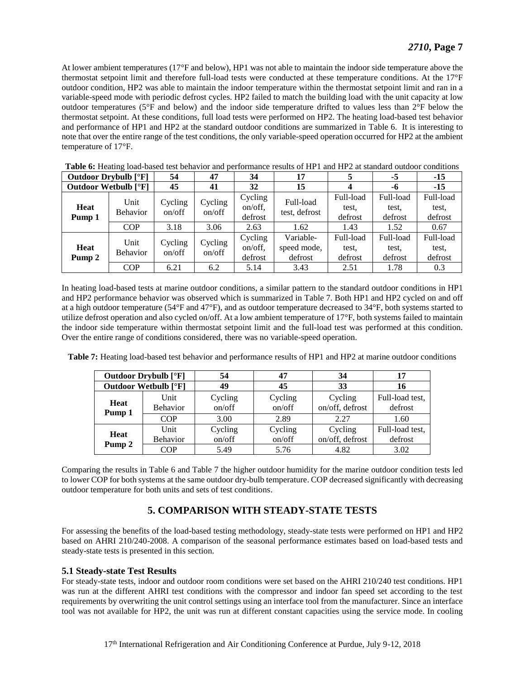At lower ambient temperatures (17°F and below), HP1 was not able to maintain the indoor side temperature above the thermostat setpoint limit and therefore full-load tests were conducted at these temperature conditions. At the 17°F outdoor condition, HP2 was able to maintain the indoor temperature within the thermostat setpoint limit and ran in a variable-speed mode with periodic defrost cycles. HP2 failed to match the building load with the unit capacity at low outdoor temperatures (5°F and below) and the indoor side temperature drifted to values less than 2°F below the thermostat setpoint. At these conditions, full load tests were performed on HP2. The heating load-based test behavior and performance of HP1 and HP2 at the standard outdoor conditions are summarized in [Table 6.](#page-7-0) It is interesting to note that over the entire range of the test conditions, the only variable-speed operation occurred for HP2 at the ambient temperature of 17°F.

| <b>Outdoor Drybulb</b> [°F] |            | 54                                           | 47                | 34      | 17                         |           | $-5$      | $-15$     |
|-----------------------------|------------|----------------------------------------------|-------------------|---------|----------------------------|-----------|-----------|-----------|
| <b>Outdoor Wetbulb [°F]</b> |            | 45                                           | 41                | 32      | 15                         |           | -6        | $-15$     |
| <b>Heat</b><br>Pump 1       | Unit       | Cycling                                      | Cycling<br>on/off | Cycling | Full-load<br>test, defrost | Full-load | Full-load | Full-load |
|                             | Behavior   | on/off                                       |                   | on/off, |                            | test.     | test.     | test.     |
|                             |            |                                              |                   | defrost |                            | defrost   | defrost   | defrost   |
|                             | <b>COP</b> | 3.18                                         | 3.06              | 2.63    | 1.62                       | 1.43      | 1.52      | 0.67      |
|                             |            | Unit<br>Cycling<br>on/off<br><b>Behavior</b> | Cycling<br>on/off | Cycling | Variable-                  | Full-load | Full-load | Full-load |
| Heat<br>Pump 2              |            |                                              |                   | on/off, | speed mode,                | test.     | test.     | test.     |
|                             |            |                                              |                   | defrost | defrost                    | defrost   | defrost   | defrost   |
|                             | <b>COP</b> | 6.21                                         | 6.2               | 5.14    | 3.43                       | 2.51      | 1.78      | 0.3       |

<span id="page-7-0"></span>**Table 6:** Heating load-based test behavior and performance results of HP1 and HP2 at standard outdoor conditions

In heating load-based tests at marine outdoor conditions, a similar pattern to the standard outdoor conditions in HP1 and HP2 performance behavior was observed which is summarized in [Table 7.](#page-7-1) Both HP1 and HP2 cycled on and off at a high outdoor temperature (54°F and 47°F), and as outdoor temperature decreased to 34°F, both systems started to utilize defrost operation and also cycled on/off. At a low ambient temperature of 17°F, both systems failed to maintain the indoor side temperature within thermostat setpoint limit and the full-load test was performed at this condition. Over the entire range of conditions considered, there was no variable-speed operation.

<span id="page-7-1"></span>**Table 7:** Heating load-based test behavior and performance results of HP1 and HP2 at marine outdoor conditions

| <b>Outdoor Drybulb</b> [°F] |                         | 54                | 47                | 34                         | 17                         |
|-----------------------------|-------------------------|-------------------|-------------------|----------------------------|----------------------------|
| <b>Outdoor Wetbulb [°F]</b> |                         | 49                | 45                | 33                         | 16                         |
| <b>Heat</b><br>Pump 1       | Unit<br><b>Behavior</b> | Cycling<br>on/off | Cycling<br>on/off | Cycling<br>on/off, defrost | Full-load test,<br>defrost |
|                             | <b>COP</b>              | 3.00              | 2.89              | 2.27                       | 1.60                       |
| <b>Heat</b>                 | Unit<br><b>Behavior</b> | Cycling<br>on/off | Cycling<br>on/off | Cycling<br>on/off, defrost | Full-load test,<br>defrost |
| Pump 2                      | <b>COP</b>              | 5.49              | 5.76              | 4.82                       | 3.02                       |

Comparing the results in [Table 6](#page-7-0) and [Table 7](#page-7-1) the higher outdoor humidity for the marine outdoor condition tests led to lower COP for both systems at the same outdoor dry-bulb temperature. COP decreased significantly with decreasing outdoor temperature for both units and sets of test conditions.

## **5. COMPARISON WITH STEADY-STATE TESTS**

For assessing the benefits of the load-based testing methodology, steady-state tests were performed on HP1 and HP2 based on AHRI 210/240-2008. A comparison of the seasonal performance estimates based on load-based tests and steady-state tests is presented in this section.

## **5.1 Steady-state Test Results**

For steady-state tests, indoor and outdoor room conditions were set based on the AHRI 210/240 test conditions. HP1 was run at the different AHRI test conditions with the compressor and indoor fan speed set according to the test requirements by overwriting the unit control settings using an interface tool from the manufacturer. Since an interface tool was not available for HP2, the unit was run at different constant capacities using the service mode. In cooling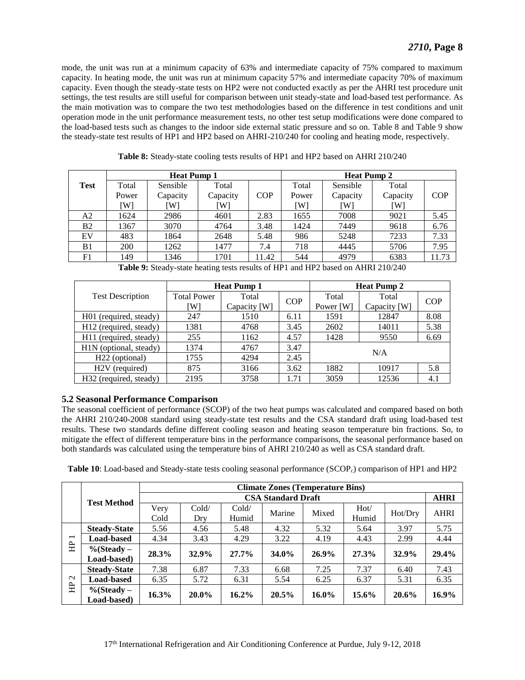mode, the unit was run at a minimum capacity of 63% and intermediate capacity of 75% compared to maximum capacity. In heating mode, the unit was run at minimum capacity 57% and intermediate capacity 70% of maximum capacity. Even though the steady-state tests on HP2 were not conducted exactly as per the AHRI test procedure unit settings, the test results are still useful for comparison between unit steady-state and load-based test performance. As the main motivation was to compare the two test methodologies based on the difference in test conditions and unit operation mode in the unit performance measurement tests, no other test setup modifications were done compared to the load-based tests such as changes to the indoor side external static pressure and so on. [Table 8](#page-8-0) and [Table 9](#page-8-1) show the steady-state test results of HP1 and HP2 based on AHRI-210/240 for cooling and heating mode, respectively.

<span id="page-8-0"></span>

|           | <b>Heat Pump 1</b> |          |          |            | <b>Heat Pump 2</b> |          |          |            |
|-----------|--------------------|----------|----------|------------|--------------------|----------|----------|------------|
| Test      | Total              | Sensible | Total    |            | Total              | Sensible | Total    |            |
|           | Power              | Capacity | Capacity | <b>COP</b> | Power              | Capacity | Capacity | <b>COP</b> |
|           | ٢W١                | Wl       | W        |            | [W]                | Wl       | [W]      |            |
| A2        | 1624               | 2986     | 4601     | 2.83       | 1655               | 7008     | 9021     | 5.45       |
| <b>B2</b> | 1367               | 3070     | 4764     | 3.48       | 1424               | 7449     | 9618     | 6.76       |
| EV        | 483                | 1864     | 2648     | 5.48       | 986                | 5248     | 7233     | 7.33       |
| B1        | 200                | 1262     | 1477     | 7.4        | 718                | 4445     | 5706     | 7.95       |
| F1        | 149                | 1346     | 1701     | 11.42      | 544                | 4979     | 6383     | 11.73      |

|  |  | Table 8: Steady-state cooling tests results of HP1 and HP2 based on AHRI 210/240 |
|--|--|----------------------------------------------------------------------------------|
|  |  |                                                                                  |

**Table 9:** Steady-state heating tests results of HP1 and HP2 based on AHRI 210/240

<span id="page-8-1"></span>

|                                    |                    | <b>Heat Pump 1</b> |            | <b>Heat Pump 2</b> |              |            |  |
|------------------------------------|--------------------|--------------------|------------|--------------------|--------------|------------|--|
| <b>Test Description</b>            | <b>Total Power</b> | Total              | <b>COP</b> | Total              | Total        | <b>COP</b> |  |
|                                    | [W]                | Capacity [W]       |            | Power [W]          | Capacity [W] |            |  |
| H01 (required, steady)             | 247                | 1510               | 6.11       | 1591               | 12847        | 8.08       |  |
| H <sub>12</sub> (required, steady) | 1381               | 4768               | 3.45       | 2602               | 14011        | 5.38       |  |
| H11 (required, steady)             | 255                | 1162               | 4.57       | 1428               | 9550         | 6.69       |  |
| H1N (optional, steady)             | 1374               | 4767               | 3.47       |                    |              |            |  |
| H <sub>22</sub> (optional)         | 1755               | 4294               | 2.45       | N/A                |              |            |  |
| H <sub>2</sub> V (required)        | 875                | 3166               | 3.62       | 1882               | 10917        | 5.8        |  |
| H <sub>32</sub> (required, steady) | 2195               | 3758               | 1.71       | 3059               | 12536        | 4.1        |  |

## **5.2 Seasonal Performance Comparison**

The seasonal coefficient of performance (SCOP) of the two heat pumps was calculated and compared based on both the AHRI 210/240-2008 standard using steady-state test results and the CSA standard draft using load-based test results. These two standards define different cooling season and heating season temperature bin fractions. So, to mitigate the effect of different temperature bins in the performance comparisons, the seasonal performance based on both standards was calculated using the temperature bins of AHRI 210/240 as well as CSA standard draft.

<span id="page-8-2"></span>

| Table 10: Load-based and Steady-state tests cooling seasonal performance (SCOP <sub>c</sub> ) comparison of HP1 and HP2 |  |  |
|-------------------------------------------------------------------------------------------------------------------------|--|--|
|                                                                                                                         |  |  |

|                          |                     | <b>Climate Zones (Temperature Bins)</b> |          |          |          |          |          |         |             |
|--------------------------|---------------------|-----------------------------------------|----------|----------|----------|----------|----------|---------|-------------|
|                          | <b>Test Method</b>  | <b>CSA Standard Draft</b>               |          |          |          |          |          |         | <b>AHRI</b> |
|                          |                     | Very                                    | Cold/    | Cold/    | Marine   | Mixed    | Hot/     | Hot/Dry | <b>AHRI</b> |
|                          |                     | Cold                                    | Dry      | Humid    |          |          | Humid    |         |             |
|                          | <b>Steady-State</b> | 5.56                                    | 4.56     | 5.48     | 4.32     | 5.32     | 5.64     | 3.97    | 5.75        |
| $\overline{\phantom{0}}$ | <b>Load-based</b>   | 4.34                                    | 3.43     | 4.29     | 3.22     | 4.19     | 4.43     | 2.99    | 4.44        |
| 臣                        | $\%$ (Steady –      | 28.3%                                   | 32.9%    | $27.7\%$ | 34.0%    | 26.9%    | 27.3%    | 32.9%   | 29.4%       |
|                          | Load-based)         |                                         |          |          |          |          |          |         |             |
|                          | <b>Steady-State</b> | 7.38                                    | 6.87     | 7.33     | 6.68     | 7.25     | 7.37     | 6.40    | 7.43        |
| $\sim$<br>臣              | <b>Load-based</b>   | 6.35                                    | 5.72     | 6.31     | 5.54     | 6.25     | 6.37     | 5.31    | 6.35        |
|                          | $\%$ (Steady –      | $16.3\%$                                | $20.0\%$ | $16.2\%$ | $20.5\%$ | $16.0\%$ | $15.6\%$ | 20.6%   | $16.9\%$    |
|                          | Load-based)         |                                         |          |          |          |          |          |         |             |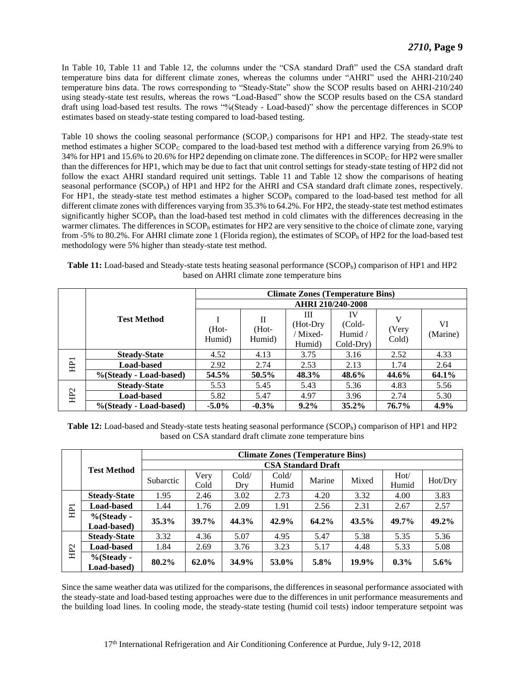In [Table 10,](#page-8-2) [Table](#page-9-0) 11 and [Table](#page-9-1) 12, the columns under the "CSA standard Draft" used the CSA standard draft temperature bins data for different climate zones, whereas the columns under "AHRI" used the AHRI-210/240 temperature bins data. The rows corresponding to "Steady-State" show the SCOP results based on AHRI-210/240 using steady-state test results, whereas the rows "Load-Based" show the SCOP results based on the CSA standard draft using load-based test results. The rows "%(Steady - Load-based)" show the percentage differences in SCOP estimates based on steady-state testing compared to load-based testing.

[Table 10](#page-8-2) shows the cooling seasonal performance (SCOP<sub>c</sub>) comparisons for HP1 and HP2. The steady-state test method estimates a higher SCOP<sub>C</sub> compared to the load-based test method with a difference varying from 26.9% to 34% for HP1 and 15.6% to 20.6% for HP2 depending on climate zone. The differences in SCOP<sub>C</sub> for HP2 were smaller than the differences for HP1, which may be due to fact that unit control settings for steady-state testing of HP2 did not follow the exact AHRI standard required unit settings. [Table 11](#page-9-0) and [Table 12](#page-9-1) show the comparisons of heating seasonal performance (SCOP<sub>h</sub>) of HP1 and HP2 for the AHRI and CSA standard draft climate zones, respectively. For HP1, the steady-state test method estimates a higher SCOP<sub>h</sub> compared to the load-based test method for all different climate zones with differences varying from 35.3% to 64.2%. For HP2, the steady-state test method estimates significantly higher  $SCOP<sub>h</sub>$  than the load-based test method in cold climates with the differences decreasing in the warmer climates. The differences in SCOP<sub>h</sub> estimates for HP2 are very sensitive to the choice of climate zone, varying from -5% to 80.2%. For AHRI climate zone 1 (Florida region), the estimates of SCOP<sub>h</sub> of HP2 for the load-based test methodology were 5% higher than steady-state test method.

<span id="page-9-0"></span>

| Table 11: Load-based and Steady-state tests heating seasonal performance (SCOP <sub>h</sub> ) comparison of HP1 and HP2 |
|-------------------------------------------------------------------------------------------------------------------------|
| based on AHRI climate zone temperature bins                                                                             |

|     |                        | <b>Climate Zones (Temperature Bins)</b> |                                    |                                      |                                      |                     |                |  |  |
|-----|------------------------|-----------------------------------------|------------------------------------|--------------------------------------|--------------------------------------|---------------------|----------------|--|--|
|     |                        | AHRI 210/240-2008                       |                                    |                                      |                                      |                     |                |  |  |
|     | <b>Test Method</b>     | (Hot-<br>Humid)                         | $\mathbf{I}$<br>$(Hot -$<br>Humid) | Ш<br>$(Hot-Dry)$<br>Mixed-<br>Humid) | IV<br>(Cold-<br>Humid /<br>Cold-Dry) | V<br>(Very<br>Cold) | VI<br>(Marine) |  |  |
| ΗĒ  | <b>Steady-State</b>    | 4.52                                    | 4.13                               | 3.75                                 | 3.16                                 | 2.52                | 4.33           |  |  |
|     | <b>Load-based</b>      | 2.92                                    | 2.74                               | 2.53                                 | 2.13                                 | 1.74                | 2.64           |  |  |
|     | %(Steady - Load-based) | 54.5%                                   | 50.5%                              | 48.3%                                | 48.6%                                | 44.6%               | 64.1%          |  |  |
| EGH | <b>Steady-State</b>    | 5.53                                    | 5.45                               | 5.43                                 | 5.36                                 | 4.83                | 5.56           |  |  |
|     | <b>Load-based</b>      | 5.82                                    | 5.47                               | 4.97                                 | 3.96                                 | 2.74                | 5.30           |  |  |
|     | %(Steady - Load-based) | $-5.0\%$                                | $-0.3\%$                           | $9.2\%$                              | $35.2\%$                             | 76.7%               | $4.9\%$        |  |  |

<span id="page-9-1"></span>**Table 12:** Load-based and Steady-state tests heating seasonal performance (SCOPh) comparison of HP1 and HP2 based on CSA standard draft climate zone temperature bins

|     |                     | <b>Climate Zones (Temperature Bins)</b> |          |       |       |        |       |         |          |  |
|-----|---------------------|-----------------------------------------|----------|-------|-------|--------|-------|---------|----------|--|
|     | <b>Test Method</b>  | <b>CSA Standard Draft</b>               |          |       |       |        |       |         |          |  |
|     |                     | Subarctic                               | Very     | Cold/ | Cold/ | Marine | Mixed | Hot/    | Hot/Dry  |  |
|     |                     |                                         | Cold     | Dry   | Humid |        |       | Humid   |          |  |
|     | <b>Steady-State</b> | 1.95                                    | 2.46     | 3.02  | 2.73  | 4.20   | 3.32  | 4.00    | 3.83     |  |
| Ξ   | <b>Load-based</b>   | 1.44                                    | 1.76     | 2.09  | 1.91  | 2.56   | 2.31  | 2.67    | 2.57     |  |
|     | $\%$ (Steady -      | $35.3\%$                                | $39.7\%$ | 44.3% | 42.9% | 64.2%  | 43.5% | 49.7%   | $49.2\%$ |  |
|     | Load-based)         |                                         |          |       |       |        |       |         |          |  |
|     | <b>Steady-State</b> | 3.32                                    | 4.36     | 5.07  | 4.95  | 5.47   | 5.38  | 5.35    | 5.36     |  |
| HP2 | <b>Load-based</b>   | 1.84                                    | 2.69     | 3.76  | 3.23  | 5.17   | 4.48  | 5.33    | 5.08     |  |
|     | $%$ (Steady -       | 80.2%                                   | 62.0%    | 34.9% | 53.0% | 5.8%   | 19.9% | $0.3\%$ | $5.6\%$  |  |
|     | Load-based)         |                                         |          |       |       |        |       |         |          |  |

Since the same weather data was utilized for the comparisons, the differences in seasonal performance associated with the steady-state and load-based testing approaches were due to the differences in unit performance measurements and the building load lines. In cooling mode, the steady-state testing (humid coil tests) indoor temperature setpoint was